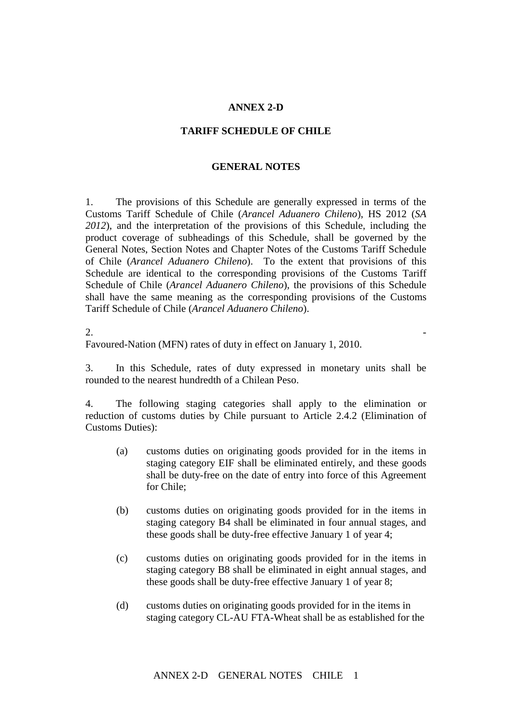## **ANNEX 2-D**

## **TARIFF SCHEDULE OF CHILE**

## **GENERAL NOTES**

1. The provisions of this Schedule are generally expressed in terms of the Customs Tariff Schedule of Chile (*Arancel Aduanero Chileno*), HS 2012 (*SA 2012*), and the interpretation of the provisions of this Schedule, including the product coverage of subheadings of this Schedule, shall be governed by the General Notes, Section Notes and Chapter Notes of the Customs Tariff Schedule of Chile (*Arancel Aduanero Chileno*). To the extent that provisions of this Schedule are identical to the corresponding provisions of the Customs Tariff Schedule of Chile (*Arancel Aduanero Chileno*), the provisions of this Schedule shall have the same meaning as the corresponding provisions of the Customs Tariff Schedule of Chile (*Arancel Aduanero Chileno*).

 $2.$ 

Favoured-Nation (MFN) rates of duty in effect on January 1, 2010.

3. In this Schedule, rates of duty expressed in monetary units shall be rounded to the nearest hundredth of a Chilean Peso.

4. The following staging categories shall apply to the elimination or reduction of customs duties by Chile pursuant to Article 2.4.2 (Elimination of Customs Duties):

- (a) customs duties on originating goods provided for in the items in staging category EIF shall be eliminated entirely, and these goods shall be duty-free on the date of entry into force of this Agreement for Chile;
- (b) customs duties on originating goods provided for in the items in staging category B4 shall be eliminated in four annual stages, and these goods shall be duty-free effective January 1 of year 4;
- (c) customs duties on originating goods provided for in the items in staging category B8 shall be eliminated in eight annual stages, and these goods shall be duty-free effective January 1 of year 8;
- (d) customs duties on originating goods provided for in the items in staging category CL-AU FTA-Wheat shall be as established for the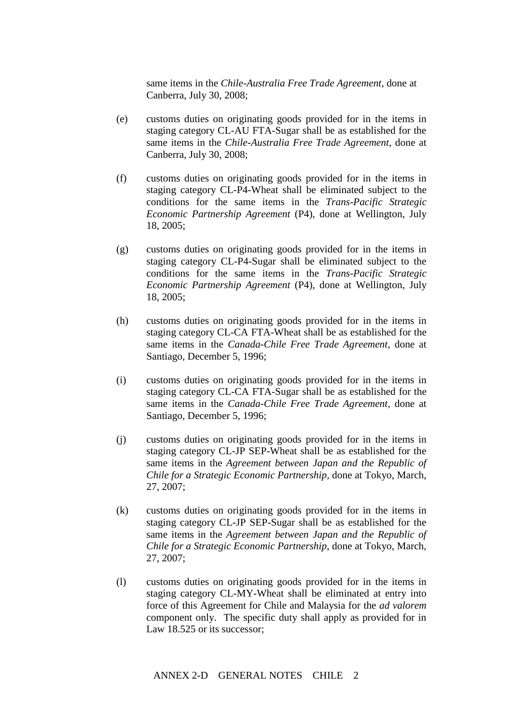same items in the *Chile-Australia Free Trade Agreement*, done at Canberra, July 30, 2008;

- (e) customs duties on originating goods provided for in the items in staging category CL-AU FTA-Sugar shall be as established for the same items in the *Chile-Australia Free Trade Agreement*, done at Canberra, July 30, 2008;
- (f) customs duties on originating goods provided for in the items in staging category CL-P4-Wheat shall be eliminated subject to the conditions for the same items in the *Trans-Pacific Strategic Economic Partnership Agreement* (P4), done at Wellington, July 18, 2005;
- (g) customs duties on originating goods provided for in the items in staging category CL-P4-Sugar shall be eliminated subject to the conditions for the same items in the *Trans-Pacific Strategic Economic Partnership Agreement* (P4), done at Wellington, July 18, 2005;
- (h) customs duties on originating goods provided for in the items in staging category CL-CA FTA-Wheat shall be as established for the same items in the *Canada-Chile Free Trade Agreement*, done at Santiago, December 5, 1996;
- (i) customs duties on originating goods provided for in the items in staging category CL-CA FTA-Sugar shall be as established for the same items in the *Canada-Chile Free Trade Agreement*, done at Santiago, December 5, 1996;
- (j) customs duties on originating goods provided for in the items in staging category CL-JP SEP-Wheat shall be as established for the same items in the *Agreement between Japan and the Republic of Chile for a Strategic Economic Partnership,* done at Tokyo, March, 27, 2007;
- (k) customs duties on originating goods provided for in the items in staging category CL-JP SEP-Sugar shall be as established for the same items in the *Agreement between Japan and the Republic of Chile for a Strategic Economic Partnership*, done at Tokyo, March, 27, 2007;
- (l) customs duties on originating goods provided for in the items in staging category CL-MY-Wheat shall be eliminated at entry into force of this Agreement for Chile and Malaysia for the *ad valorem* component only. The specific duty shall apply as provided for in Law 18.525 or its successor;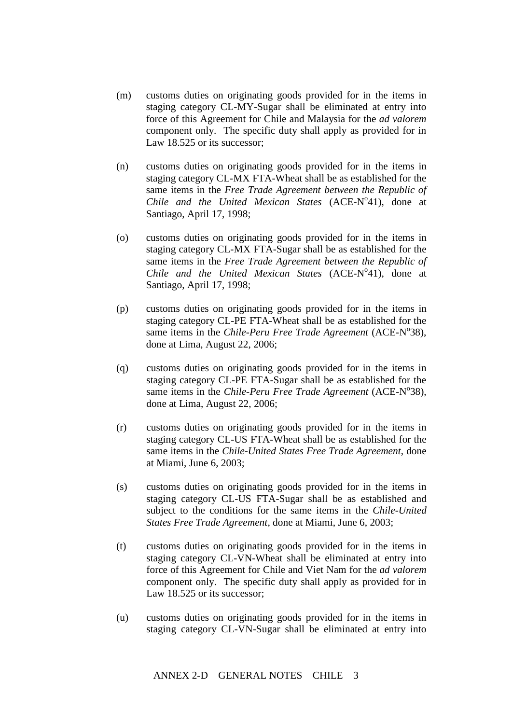- (m) customs duties on originating goods provided for in the items in staging category CL-MY-Sugar shall be eliminated at entry into force of this Agreement for Chile and Malaysia for the *ad valorem* component only. The specific duty shall apply as provided for in Law 18.525 or its successor:
- (n) customs duties on originating goods provided for in the items in staging category CL-MX FTA-Wheat shall be as established for the same items in the *Free Trade Agreement between the Republic of*  Chile and the United Mexican States (ACE-N°41), done at Santiago, April 17, 1998;
- (o) customs duties on originating goods provided for in the items in staging category CL-MX FTA-Sugar shall be as established for the same items in the *Free Trade Agreement between the Republic of*  Chile and the United Mexican States (ACE-N°41), done at Santiago, April 17, 1998;
- (p) customs duties on originating goods provided for in the items in staging category CL-PE FTA-Wheat shall be as established for the same items in the *Chile-Peru Free Trade Agreement* (ACE-N°38), done at Lima, August 22, 2006;
- (q) customs duties on originating goods provided for in the items in staging category CL-PE FTA-Sugar shall be as established for the same items in the *Chile-Peru Free Trade Agreement* (ACE-N°38), done at Lima, August 22, 2006;
- (r) customs duties on originating goods provided for in the items in staging category CL-US FTA-Wheat shall be as established for the same items in the *Chile-United States Free Trade Agreement*, done at Miami, June 6, 2003;
- (s) customs duties on originating goods provided for in the items in staging category CL-US FTA-Sugar shall be as established and subject to the conditions for the same items in the *Chile-United States Free Trade Agreement*, done at Miami, June 6, 2003;
- (t) customs duties on originating goods provided for in the items in staging category CL-VN-Wheat shall be eliminated at entry into force of this Agreement for Chile and Viet Nam for the *ad valorem* component only. The specific duty shall apply as provided for in Law 18.525 or its successor:
- (u) customs duties on originating goods provided for in the items in staging category CL-VN-Sugar shall be eliminated at entry into